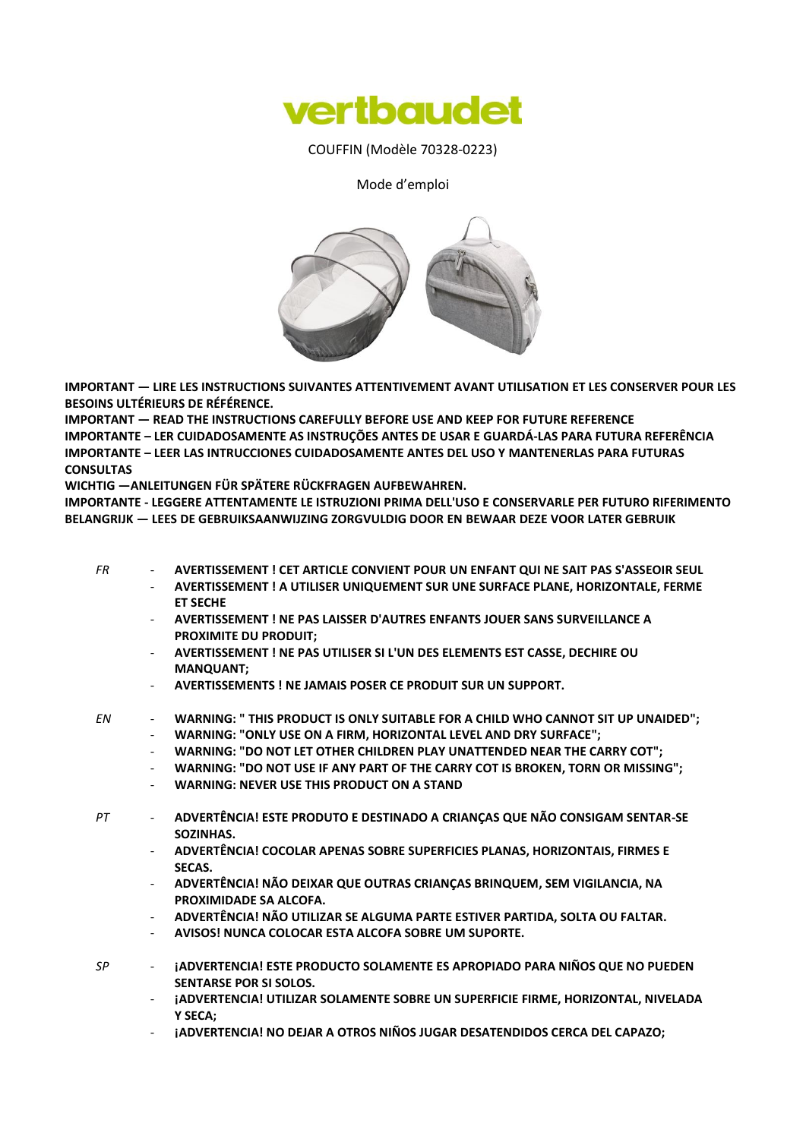

COUFFIN (Modèle 70328-0223)

Mode d'emploi



**IMPORTANT — LIRE LES INSTRUCTIONS SUIVANTES ATTENTIVEMENT AVANT UTILISATION ET LES CONSERVER POUR LES BESOINS ULTÉRIEURS DE RÉFÉRENCE.**

**IMPORTANT — READ THE INSTRUCTIONS CAREFULLY BEFORE USE AND KEEP FOR FUTURE REFERENCE IMPORTANTE – LER CUIDADOSAMENTE AS INSTRUÇÕES ANTES DE USAR E GUARDÁ-LAS PARA FUTURA REFERÊNCIA IMPORTANTE – LEER LAS INTRUCCIONES CUIDADOSAMENTE ANTES DEL USO Y MANTENERLAS PARA FUTURAS CONSULTAS**

**WICHTIG —ANLEITUNGEN FÜR SPÄTERE RÜCKFRAGEN AUFBEWAHREN.**

**IMPORTANTE - LEGGERE ATTENTAMENTE LE ISTRUZIONI PRIMA DELL'USO E CONSERVARLE PER FUTURO RIFERIMENTO BELANGRIJK — LEES DE GEBRUIKSAANWIJZING ZORGVULDIG DOOR EN BEWAAR DEZE VOOR LATER GEBRUIK**

- *FR* **AVERTISSEMENT ! CET ARTICLE CONVIENT POUR UN ENFANT QUI NE SAIT PAS S'ASSEOIR SEUL**
	- **AVERTISSEMENT ! A UTILISER UNIQUEMENT SUR UNE SURFACE PLANE, HORIZONTALE, FERME ET SECHE**
		- **AVERTISSEMENT ! NE PAS LAISSER D'AUTRES ENFANTS JOUER SANS SURVEILLANCE A PROXIMITE DU PRODUIT;**
		- **AVERTISSEMENT ! NE PAS UTILISER SI L'UN DES ELEMENTS EST CASSE, DECHIRE OU MANQUANT;**
		- **AVERTISSEMENTS ! NE JAMAIS POSER CE PRODUIT SUR UN SUPPORT.**
- *EN* **WARNING: " THIS PRODUCT IS ONLY SUITABLE FOR A CHILD WHO CANNOT SIT UP UNAIDED";** - **WARNING: "ONLY USE ON A FIRM, HORIZONTAL LEVEL AND DRY SURFACE";**
	- **WARNING: "DO NOT LET OTHER CHILDREN PLAY UNATTENDED NEAR THE CARRY COT";**
	- **WARNING: "DO NOT USE IF ANY PART OF THE CARRY COT IS BROKEN, TORN OR MISSING";**
	- **WARNING: NEVER USE THIS PRODUCT ON A STAND**
- *PT* **ADVERTÊNCIA! ESTE PRODUTO E DESTINADO A CRIANÇAS QUE NÃO CONSIGAM SENTAR-SE SOZINHAS.**
	- **ADVERTÊNCIA! COCOLAR APENAS SOBRE SUPERFICIES PLANAS, HORIZONTAIS, FIRMES E SECAS.**
	- **ADVERTÊNCIA! NÃO DEIXAR QUE OUTRAS CRIANÇAS BRINQUEM, SEM VIGILANCIA, NA PROXIMIDADE SA ALCOFA.**
	- **ADVERTÊNCIA! NÃO UTILIZAR SE ALGUMA PARTE ESTIVER PARTIDA, SOLTA OU FALTAR.**
	- **AVISOS! NUNCA COLOCAR ESTA ALCOFA SOBRE UM SUPORTE.**
- *SP* **¡ADVERTENCIA! ESTE PRODUCTO SOLAMENTE ES APROPIADO PARA NIÑOS QUE NO PUEDEN SENTARSE POR SI SOLOS.**
	- **¡ADVERTENCIA! UTILIZAR SOLAMENTE SOBRE UN SUPERFICIE FIRME, HORIZONTAL, NIVELADA Y SECA;**
	- **¡ADVERTENCIA! NO DEJAR A OTROS NIÑOS JUGAR DESATENDIDOS CERCA DEL CAPAZO;**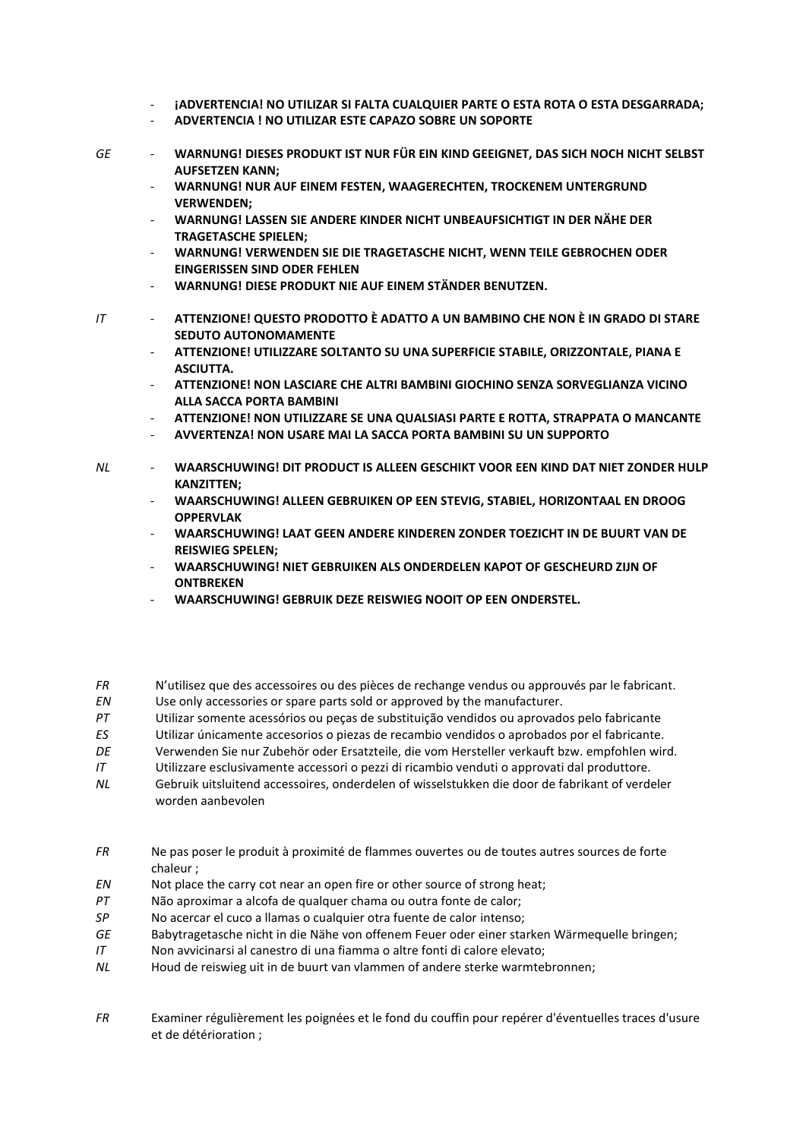- ¡ADVERTENCIA! NO UTILIZAR SI FALTA CUALQUIER PARTE O ESTA ROTA O ESTA DESGARRADA;
- ADVERTENCIA ! NO UTILIZAR ESTE CAPAZO SOBRE UN SOPORTE
- **GE** WARNUNG! DIESES PRODUKT IST NUR FÜR EIN KIND GEEIGNET, DAS SICH NOCH NICHT SELBST  $\mathcal{L}^{\mathcal{A}}$ **AUFSETZEN KANN;** 
	- WARNUNG! NUR AUF EINEM FESTEN, WAAGERECHTEN, TROCKENEM UNTERGRUND **VFRWFNDFN:**
	- WARNUNG! LASSEN SIE ANDERE KINDER NICHT UNBEAUFSICHTIGT IN DER NÄHE DER **TRAGETASCHE SPIELEN:**
	- WARNUNG! VERWENDEN SIE DIE TRAGETASCHE NICHT, WENN TEILE GEBROCHEN ODER **EINGERISSEN SIND ODER FEHLEN**
	- WARNUNG! DIESE PRODUKT NIE AUF EINEM STÄNDER BENUTZEN.
- $IT$ ATTENZIONE! QUESTO PRODOTTO È ADATTO A UN BAMBINO CHE NON È IN GRADO DI STARE **SEDUTO AUTONOMAMENTE** 
	- ATTENZIONE! UTILIZZARE SOLTANTO SU UNA SUPERFICIE STABILE. ORIZZONTALE. PIANA E **ASCILITTA**
	- ATTENZIONE! NON LASCIARE CHE ALTRI BAMBINI GIOCHINO SENZA SORVEGLIANZA VICINO **ALLA SACCA PORTA BAMBINI**
	- ATTENZIONE! NON UTILIZZARE SE UNA QUALSIASI PARTE E ROTTA, STRAPPATA O MANCANTE
	- AVVERTENZA! NON USARE MAI LA SACCA PORTA BAMBINI SU UN SUPPORTO
- $NL$ WAARSCHUWING! DIT PRODUCT IS ALLEEN GESCHIKT VOOR EEN KIND DAT NIET ZONDER HULP **KANZITTEN:** 
	- WAARSCHUWING! ALLEEN GEBRUIKEN OP EEN STEVIG, STABIEL, HORIZONTAAL EN DROOG **OPPERVLAK**
	- WAARSCHUWING! LAAT GEEN ANDERE KINDEREN ZONDER TOEZICHT IN DE BUURT VAN DE **REISWIEG SPELEN:**
	- WAARSCHUWING! NIET GEBRUIKEN ALS ONDERDELEN KAPOT OF GESCHEURD ZIJN OF **ONTRREKEN**
	- **WAARSCHUWING! GEBRUIK DEZE REISWIEG NOOIT OP EEN ONDERSTEL.**
- **FR** N'utilisez que des accessoires ou des pièces de rechange vendus ou approuvés par le fabricant.
- $\mathit{EN}$ Use only accessories or spare parts sold or approved by the manufacturer.
- $PT$ Utilizar somente acessórios ou peças de substituição vendidos ou aprovados pelo fabricante
- ES Utilizar únicamente accesorios o piezas de recambio vendidos o aprobados por el fabricante.
- $DF$ Verwenden Sie nur Zubehör oder Ersatzteile, die vom Hersteller verkauft bzw. empfohlen wird.
- $\overline{I}$ Utilizzare esclusivamente accessori o pezzi di ricambio venduti o approvati dal produttore.
- $NL$ Gebruik uitsluitend accessoires, onderdelen of wisselstukken die door de fabrikant of verdeler worden aanbevolen
- **FR** Ne pas poser le produit à proximité de flammes ouvertes ou de toutes autres sources de forte chaleur:
- EN Not place the carry cot near an open fire or other source of strong heat;
- $PT$ Não aproximar a alcofa de qualquer chama ou outra fonte de calor;
- $SP$ No acercar el cuco a llamas o cualquier otra fuente de calor intenso:
- $GF$ Babytragetasche nicht in die Nähe von offenem Feuer oder einer starken Wärmequelle bringen;
- $IT$ Non avvicinarsi al canestro di una fiamma o altre fonti di calore elevato;
- $NI$ Houd de reiswieg uit in de buurt van vlammen of andere sterke warmtebronnen;
- Examiner régulièrement les poignées et le fond du couffin pour repérer d'éventuelles traces d'usure **FR** et de détérioration ;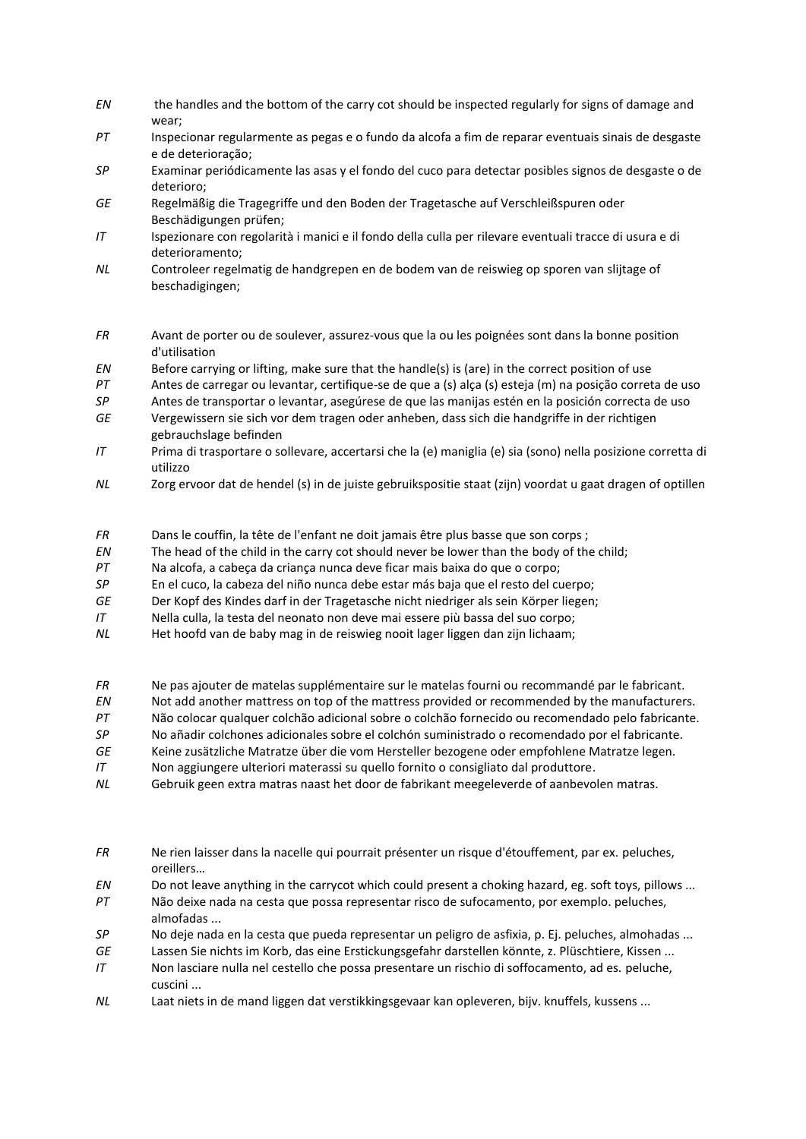- *EN* the handles and the bottom of the carry cot should be inspected regularly for signs of damage and wear;
- *PT* Inspecionar regularmente as pegas e o fundo da alcofa a fim de reparar eventuais sinais de desgaste e de deterioração;
- *SP* Examinar periódicamente las asas y el fondo del cuco para detectar posibles signos de desgaste o de deterioro;
- *GE* Regelmäßig die Tragegriffe und den Boden der Tragetasche auf Verschleißspuren oder Beschädigungen prüfen;
- *IT* Ispezionare con regolarità i manici e il fondo della culla per rilevare eventuali tracce di usura e di deterioramento;
- *NL* Controleer regelmatig de handgrepen en de bodem van de reiswieg op sporen van slijtage of beschadigingen;
- *FR* Avant de porter ou de soulever, assurez-vous que la ou les poignées sont dans la bonne position d'utilisation
- *EN* Before carrying or lifting, make sure that the handle(s) is (are) in the correct position of use
- *PT* Antes de carregar ou levantar, certifique-se de que a (s) alça (s) esteja (m) na posição correta de uso
- *SP* Antes de transportar o levantar, asegúrese de que las manijas estén en la posición correcta de uso
- *GE* Vergewissern sie sich vor dem tragen oder anheben, dass sich die handgriffe in der richtigen gebrauchslage befinden
- *IT* Prima di trasportare o sollevare, accertarsi che la (e) maniglia (e) sia (sono) nella posizione corretta di utilizzo
- *NL* Zorg ervoor dat de hendel (s) in de juiste gebruikspositie staat (zijn) voordat u gaat dragen of optillen
- *FR* Dans le couffin, la tête de l'enfant ne doit jamais être plus basse que son corps ;
- *EN* The head of the child in the carry cot should never be lower than the body of the child;
- *PT* Na alcofa, a cabeça da criança nunca deve ficar mais baixa do que o corpo;
- *SP* En el cuco, la cabeza del niño nunca debe estar más baja que el resto del cuerpo;
- *GE* Der Kopf des Kindes darf in der Tragetasche nicht niedriger als sein Körper liegen;
- *IT* Nella culla, la testa del neonato non deve mai essere più bassa del suo corpo;
- *NL* Het hoofd van de baby mag in de reiswieg nooit lager liggen dan zijn lichaam;
- *FR* Ne pas ajouter de matelas supplémentaire sur le matelas fourni ou recommandé par le fabricant.
- *EN* Not add another mattress on top of the mattress provided or recommended by the manufacturers.
- *PT* Não colocar qualquer colchão adicional sobre o colchão fornecido ou recomendado pelo fabricante.
- *SP* No añadir colchones adicionales sobre el colchón suministrado o recomendado por el fabricante.
- *GE* Keine zusätzliche Matratze über die vom Hersteller bezogene oder empfohlene Matratze legen.
- *IT* Non aggiungere ulteriori materassi su quello fornito o consigliato dal produttore.
- *NL* Gebruik geen extra matras naast het door de fabrikant meegeleverde of aanbevolen matras.
- *FR* Ne rien laisser dans la nacelle qui pourrait présenter un risque d'étouffement, par ex. peluches, oreillers…
- *EN* Do not leave anything in the carrycot which could present a choking hazard, eg. soft toys, pillows ...
- *PT* Não deixe nada na cesta que possa representar risco de sufocamento, por exemplo. peluches, almofadas ...
- *SP* No deje nada en la cesta que pueda representar un peligro de asfixia, p. Ej. peluches, almohadas ...
- *GE* Lassen Sie nichts im Korb, das eine Erstickungsgefahr darstellen könnte, z. Plüschtiere, Kissen ...
- *IT* Non lasciare nulla nel cestello che possa presentare un rischio di soffocamento, ad es. peluche, cuscini ...
- *NL* Laat niets in de mand liggen dat verstikkingsgevaar kan opleveren, bijv. knuffels, kussens ...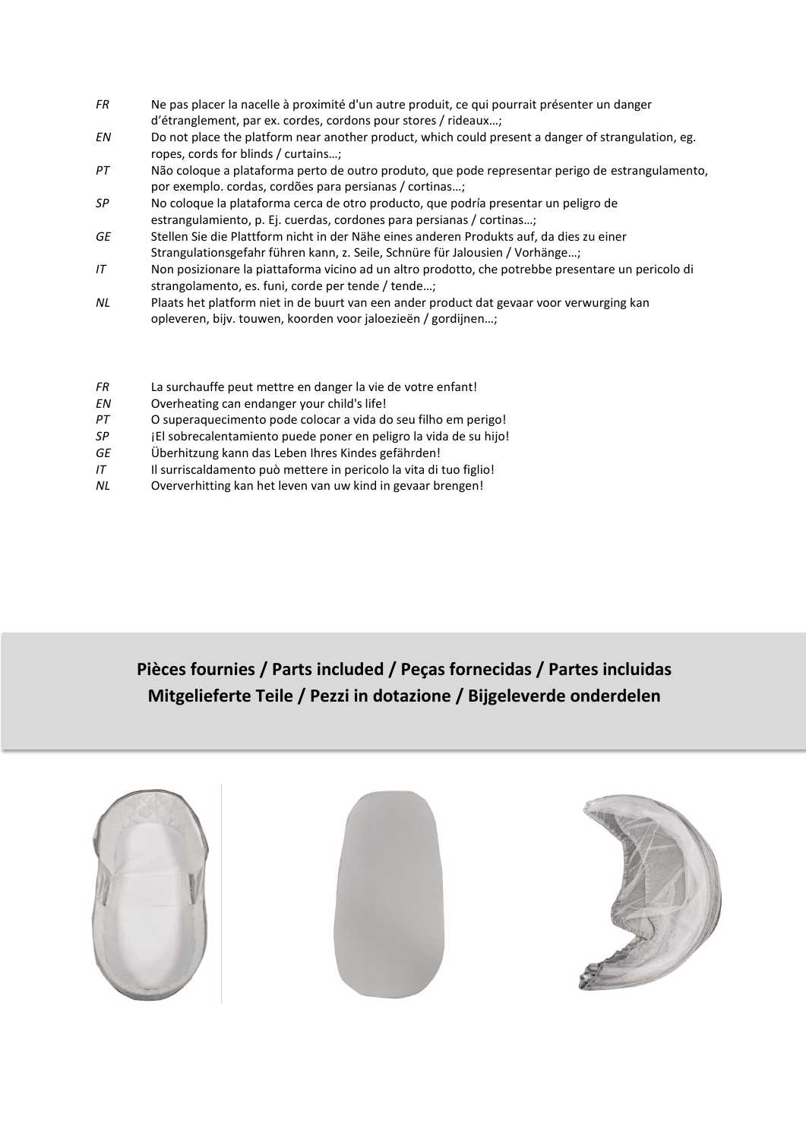- *FR* Ne pas placer la nacelle à proximité d'un autre produit, ce qui pourrait présenter un danger d'étranglement, par ex. cordes, cordons pour stores / rideaux…;
- *EN* Do not place the platform near another product, which could present a danger of strangulation, eg. ropes, cords for blinds / curtains…;
- *PT* Não coloque a plataforma perto de outro produto, que pode representar perigo de estrangulamento, por exemplo. cordas, cordões para persianas / cortinas…;
- *SP* No coloque la plataforma cerca de otro producto, que podría presentar un peligro de estrangulamiento, p. Ej. cuerdas, cordones para persianas / cortinas…;
- *GE* Stellen Sie die Plattform nicht in der Nähe eines anderen Produkts auf, da dies zu einer Strangulationsgefahr führen kann, z. Seile, Schnüre für Jalousien / Vorhänge…;
- *IT* Non posizionare la piattaforma vicino ad un altro prodotto, che potrebbe presentare un pericolo di strangolamento, es. funi, corde per tende / tende…;
- *NL* Plaats het platform niet in de buurt van een ander product dat gevaar voor verwurging kan opleveren, bijv. touwen, koorden voor jaloezieën / gordijnen…;
- *FR* La surchauffe peut mettre en danger la vie de votre enfant!
- *EN* Overheating can endanger your child's life!
- *PT* O superaquecimento pode colocar a vida do seu filho em perigo!
- *SP* ¡El sobrecalentamiento puede poner en peligro la vida de su hijo!
- *GE* Überhitzung kann das Leben Ihres Kindes gefährden!
- *IT* Il surriscaldamento può mettere in pericolo la vita di tuo figlio!
- *NL* Oververhitting kan het leven van uw kind in gevaar brengen!

## **Pièces fournies / Parts included / Peças fornecidas / Partes incluidas Mitgelieferte Teile / Pezzi in dotazione / Bijgeleverde onderdelen**

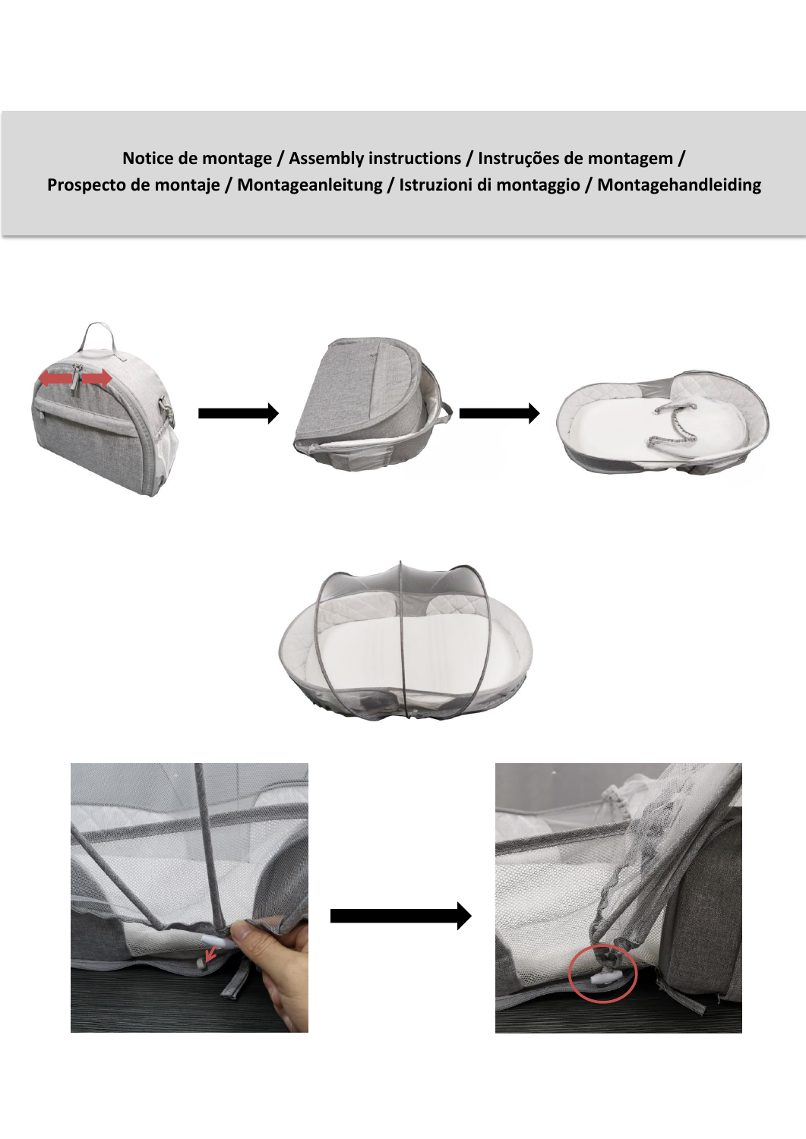**Notice de montage / Assembly instructions / Instruções de montagem / Prospecto de montaje / Montageanleitung / Istruzioni di montaggio / Montagehandleiding**